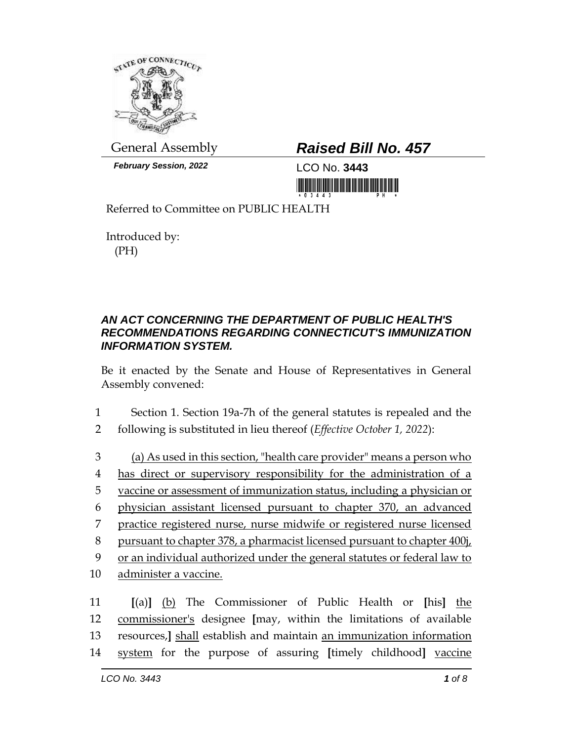

*February Session, 2022* LCO No. **3443**

## General Assembly *Raised Bill No. 457*

<u> III AN AN DI HAI AN DI HAI AN DI HAI AN DI HAI AN DI HAI AN DI HAI AN DI HAI AN DI HAI AN DI HAI AN DI HAI AN</u>

Referred to Committee on PUBLIC HEALTH

Introduced by: (PH)

## *AN ACT CONCERNING THE DEPARTMENT OF PUBLIC HEALTH'S RECOMMENDATIONS REGARDING CONNECTICUT'S IMMUNIZATION INFORMATION SYSTEM.*

Be it enacted by the Senate and House of Representatives in General Assembly convened:

- 1 Section 1. Section 19a-7h of the general statutes is repealed and the 2 following is substituted in lieu thereof (*Effective October 1, 2022*):
- 3 (a) As used in this section, "health care provider" means a person who 4 has direct or supervisory responsibility for the administration of a 5 vaccine or assessment of immunization status, including a physician or 6 physician assistant licensed pursuant to chapter 370, an advanced 7 practice registered nurse, nurse midwife or registered nurse licensed 8 pursuant to chapter 378, a pharmacist licensed pursuant to chapter 400j, 9 or an individual authorized under the general statutes or federal law to 10 administer a vaccine. 11 **[**(a)**]** (b) The Commissioner of Public Health or **[**his**]** the

12 commissioner's designee **[**may, within the limitations of available 13 resources,**]** shall establish and maintain an immunization information 14 system for the purpose of assuring **[**timely childhood**]** vaccine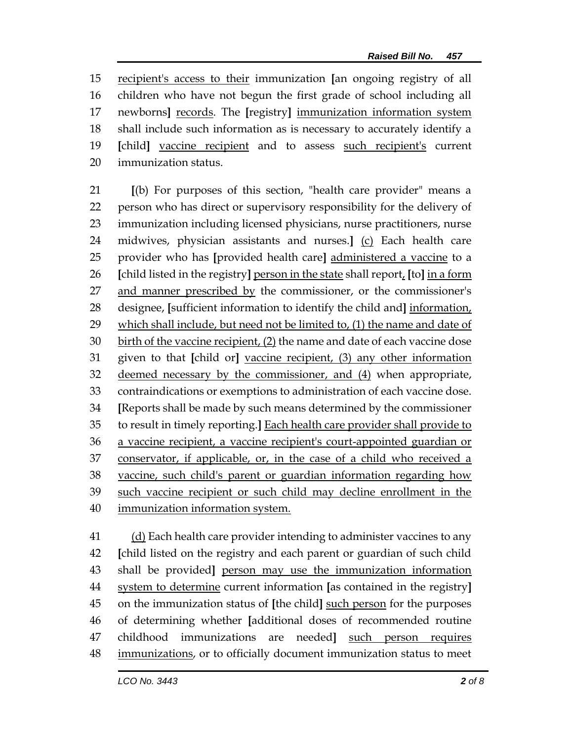recipient's access to their immunization **[**an ongoing registry of all children who have not begun the first grade of school including all newborns**]** records. The **[**registry**]** immunization information system shall include such information as is necessary to accurately identify a **[**child**]** vaccine recipient and to assess such recipient's current immunization status.

 **[**(b) For purposes of this section, "health care provider" means a person who has direct or supervisory responsibility for the delivery of immunization including licensed physicians, nurse practitioners, nurse midwives, physician assistants and nurses.**]** (c) Each health care provider who has **[**provided health care**]** administered a vaccine to a **[**child listed in the registry**]** person in the state shall report, **[**to**]** in a form and manner prescribed by the commissioner, or the commissioner's designee, **[**sufficient information to identify the child and**]** information, 29 which shall include, but need not be limited to, (1) the name and date of birth of the vaccine recipient, (2) the name and date of each vaccine dose given to that **[**child or**]** vaccine recipient, (3) any other information 32 deemed necessary by the commissioner, and (4) when appropriate, contraindications or exemptions to administration of each vaccine dose. **[**Reports shall be made by such means determined by the commissioner to result in timely reporting.**]** Each health care provider shall provide to a vaccine recipient, a vaccine recipient's court-appointed guardian or conservator, if applicable, or, in the case of a child who received a vaccine, such child's parent or guardian information regarding how such vaccine recipient or such child may decline enrollment in the immunization information system.

 (d) Each health care provider intending to administer vaccines to any **[**child listed on the registry and each parent or guardian of such child shall be provided**]** person may use the immunization information system to determine current information **[**as contained in the registry**]** on the immunization status of **[**the child**]** such person for the purposes of determining whether **[**additional doses of recommended routine childhood immunizations are needed**]** such person requires immunizations, or to officially document immunization status to meet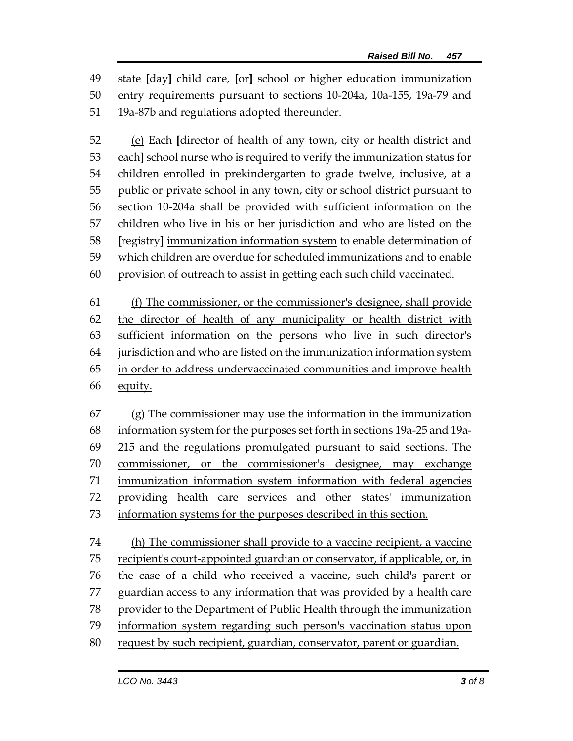state **[**day**]** child care, **[**or**]** school or higher education immunization entry requirements pursuant to sections 10-204a, 10a-155, 19a-79 and 19a-87b and regulations adopted thereunder.

 (e) Each **[**director of health of any town, city or health district and each**]** school nurse who is required to verify the immunization status for children enrolled in prekindergarten to grade twelve, inclusive, at a public or private school in any town, city or school district pursuant to section 10-204a shall be provided with sufficient information on the children who live in his or her jurisdiction and who are listed on the **[**registry**]** immunization information system to enable determination of which children are overdue for scheduled immunizations and to enable provision of outreach to assist in getting each such child vaccinated.

 (f) The commissioner, or the commissioner's designee, shall provide the director of health of any municipality or health district with sufficient information on the persons who live in such director's jurisdiction and who are listed on the immunization information system in order to address undervaccinated communities and improve health equity.

 (g) The commissioner may use the information in the immunization information system for the purposes set forth in sections 19a-25 and 19a- 215 and the regulations promulgated pursuant to said sections. The 70 commissioner, or the commissioner's designee, may exchange immunization information system information with federal agencies providing health care services and other states' immunization information systems for the purposes described in this section.

 (h) The commissioner shall provide to a vaccine recipient, a vaccine recipient's court-appointed guardian or conservator, if applicable, or, in the case of a child who received a vaccine, such child's parent or guardian access to any information that was provided by a health care provider to the Department of Public Health through the immunization information system regarding such person's vaccination status upon request by such recipient, guardian, conservator, parent or guardian.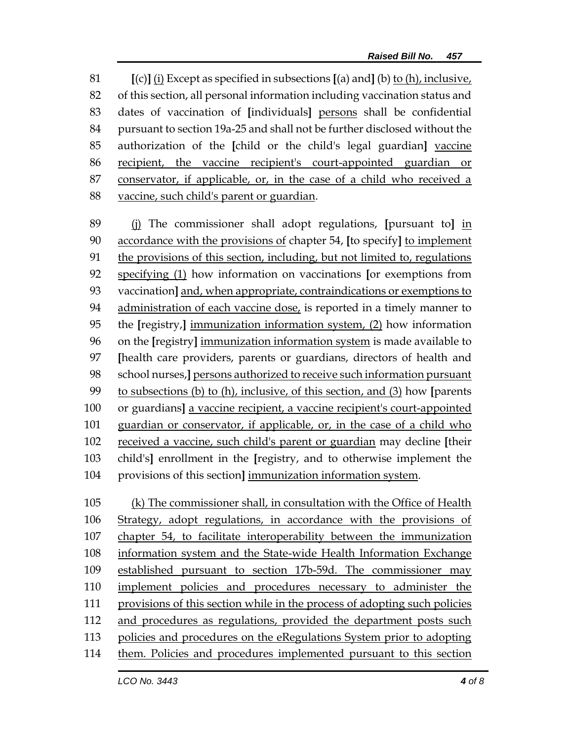**[**(c)**]** (i) Except as specified in subsections **[**(a) and**]** (b) to (h), inclusive, of this section, all personal information including vaccination status and dates of vaccination of **[**individuals**]** persons shall be confidential pursuant to section 19a-25 and shall not be further disclosed without the authorization of the **[**child or the child's legal guardian**]** vaccine recipient, the vaccine recipient's court-appointed guardian or conservator, if applicable, or, in the case of a child who received a vaccine, such child's parent or guardian.

 (j) The commissioner shall adopt regulations, **[**pursuant to**]** in accordance with the provisions of chapter 54, **[**to specify**]** to implement the provisions of this section, including, but not limited to, regulations specifying (1) how information on vaccinations **[**or exemptions from vaccination**]** and, when appropriate, contraindications or exemptions to administration of each vaccine dose, is reported in a timely manner to the **[**registry,**]** immunization information system, (2) how information on the **[**registry**]** immunization information system is made available to **[**health care providers, parents or guardians, directors of health and school nurses,**]** persons authorized to receive such information pursuant to subsections (b) to (h), inclusive, of this section, and (3) how **[**parents or guardians**]** a vaccine recipient, a vaccine recipient's court-appointed 101 guardian or conservator, if applicable, or, in the case of a child who received a vaccine, such child's parent or guardian may decline **[**their child's**]** enrollment in the **[**registry, and to otherwise implement the provisions of this section**]** immunization information system.

 (k) The commissioner shall, in consultation with the Office of Health Strategy, adopt regulations, in accordance with the provisions of chapter 54, to facilitate interoperability between the immunization information system and the State-wide Health Information Exchange established pursuant to section 17b-59d. The commissioner may implement policies and procedures necessary to administer the provisions of this section while in the process of adopting such policies and procedures as regulations, provided the department posts such policies and procedures on the eRegulations System prior to adopting them. Policies and procedures implemented pursuant to this section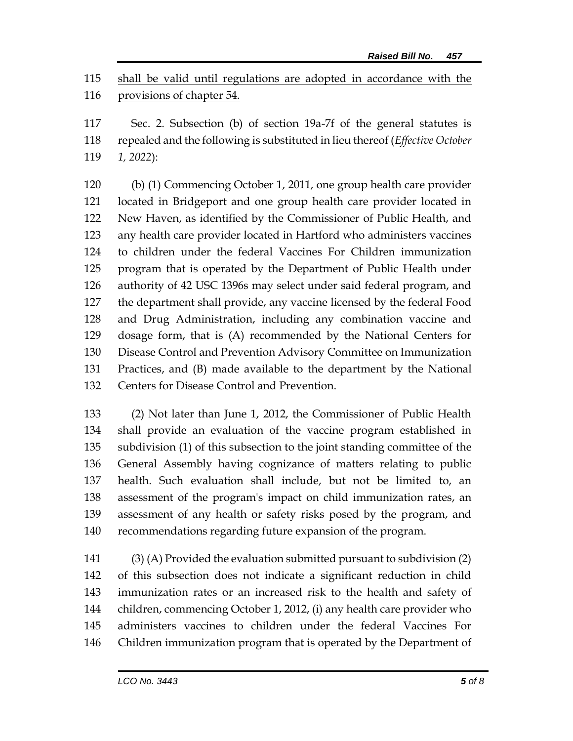shall be valid until regulations are adopted in accordance with the provisions of chapter 54.

 Sec. 2. Subsection (b) of section 19a-7f of the general statutes is repealed and the following is substituted in lieu thereof (*Effective October 1, 2022*):

 (b) (1) Commencing October 1, 2011, one group health care provider located in Bridgeport and one group health care provider located in New Haven, as identified by the Commissioner of Public Health, and any health care provider located in Hartford who administers vaccines to children under the federal Vaccines For Children immunization program that is operated by the Department of Public Health under authority of 42 USC 1396s may select under said federal program, and the department shall provide, any vaccine licensed by the federal Food and Drug Administration, including any combination vaccine and dosage form, that is (A) recommended by the National Centers for Disease Control and Prevention Advisory Committee on Immunization Practices, and (B) made available to the department by the National Centers for Disease Control and Prevention.

 (2) Not later than June 1, 2012, the Commissioner of Public Health shall provide an evaluation of the vaccine program established in subdivision (1) of this subsection to the joint standing committee of the General Assembly having cognizance of matters relating to public health. Such evaluation shall include, but not be limited to, an assessment of the program's impact on child immunization rates, an assessment of any health or safety risks posed by the program, and recommendations regarding future expansion of the program.

 (3) (A) Provided the evaluation submitted pursuant to subdivision (2) of this subsection does not indicate a significant reduction in child immunization rates or an increased risk to the health and safety of children, commencing October 1, 2012, (i) any health care provider who administers vaccines to children under the federal Vaccines For Children immunization program that is operated by the Department of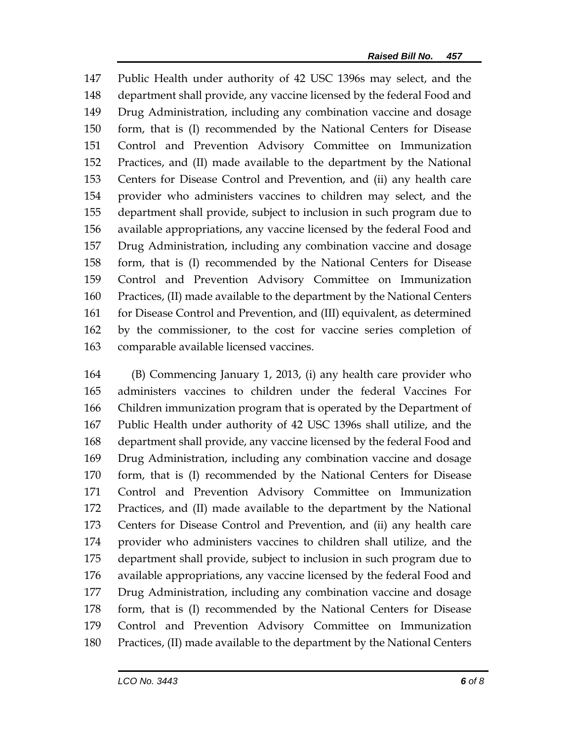Public Health under authority of 42 USC 1396s may select, and the department shall provide, any vaccine licensed by the federal Food and Drug Administration, including any combination vaccine and dosage form, that is (I) recommended by the National Centers for Disease Control and Prevention Advisory Committee on Immunization Practices, and (II) made available to the department by the National Centers for Disease Control and Prevention, and (ii) any health care provider who administers vaccines to children may select, and the department shall provide, subject to inclusion in such program due to available appropriations, any vaccine licensed by the federal Food and Drug Administration, including any combination vaccine and dosage form, that is (I) recommended by the National Centers for Disease Control and Prevention Advisory Committee on Immunization Practices, (II) made available to the department by the National Centers for Disease Control and Prevention, and (III) equivalent, as determined by the commissioner, to the cost for vaccine series completion of comparable available licensed vaccines.

 (B) Commencing January 1, 2013, (i) any health care provider who administers vaccines to children under the federal Vaccines For Children immunization program that is operated by the Department of Public Health under authority of 42 USC 1396s shall utilize, and the department shall provide, any vaccine licensed by the federal Food and Drug Administration, including any combination vaccine and dosage form, that is (I) recommended by the National Centers for Disease Control and Prevention Advisory Committee on Immunization Practices, and (II) made available to the department by the National Centers for Disease Control and Prevention, and (ii) any health care provider who administers vaccines to children shall utilize, and the department shall provide, subject to inclusion in such program due to available appropriations, any vaccine licensed by the federal Food and Drug Administration, including any combination vaccine and dosage form, that is (I) recommended by the National Centers for Disease Control and Prevention Advisory Committee on Immunization Practices, (II) made available to the department by the National Centers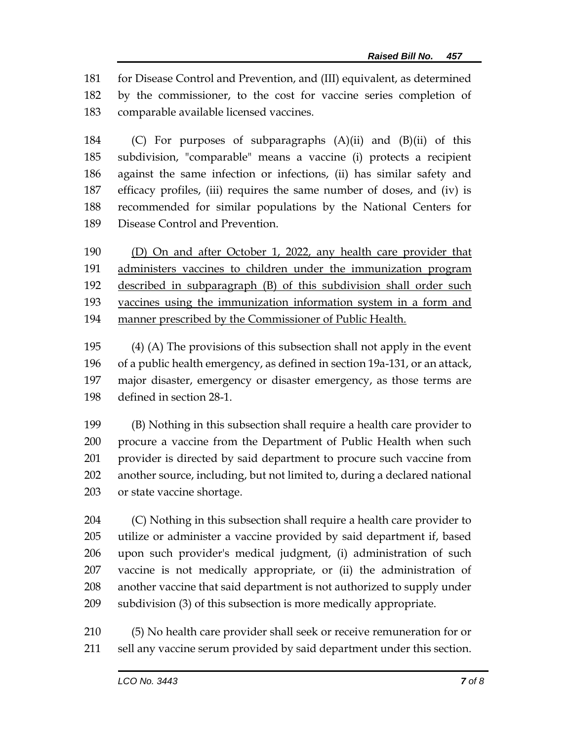for Disease Control and Prevention, and (III) equivalent, as determined by the commissioner, to the cost for vaccine series completion of comparable available licensed vaccines.

 (C) For purposes of subparagraphs (A)(ii) and (B)(ii) of this subdivision, "comparable" means a vaccine (i) protects a recipient against the same infection or infections, (ii) has similar safety and efficacy profiles, (iii) requires the same number of doses, and (iv) is recommended for similar populations by the National Centers for Disease Control and Prevention.

 (D) On and after October 1, 2022, any health care provider that administers vaccines to children under the immunization program described in subparagraph (B) of this subdivision shall order such vaccines using the immunization information system in a form and manner prescribed by the Commissioner of Public Health.

 (4) (A) The provisions of this subsection shall not apply in the event of a public health emergency, as defined in section 19a-131, or an attack, major disaster, emergency or disaster emergency, as those terms are defined in section 28-1.

 (B) Nothing in this subsection shall require a health care provider to procure a vaccine from the Department of Public Health when such provider is directed by said department to procure such vaccine from another source, including, but not limited to, during a declared national or state vaccine shortage.

 (C) Nothing in this subsection shall require a health care provider to utilize or administer a vaccine provided by said department if, based upon such provider's medical judgment, (i) administration of such vaccine is not medically appropriate, or (ii) the administration of another vaccine that said department is not authorized to supply under subdivision (3) of this subsection is more medically appropriate.

 (5) No health care provider shall seek or receive remuneration for or sell any vaccine serum provided by said department under this section.